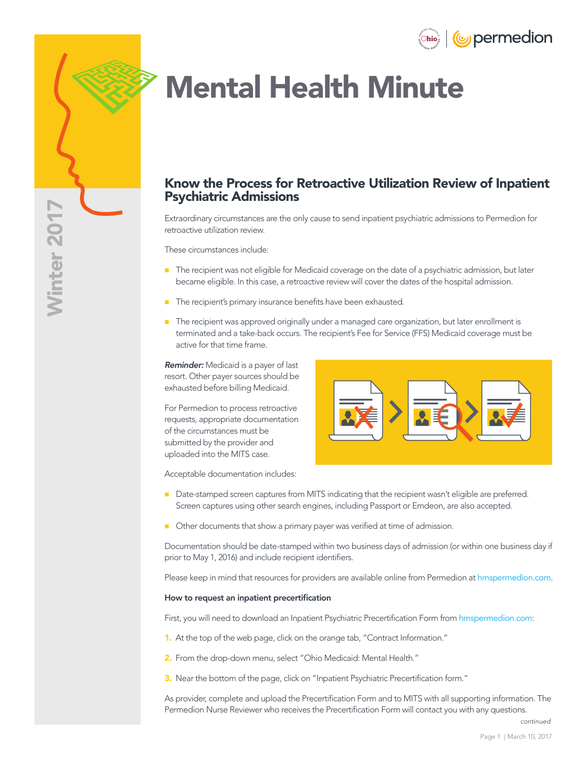

# Mental Health Minute

## Know the Process for Retroactive Utilization Review of Inpatient Psychiatric Admissions

Extraordinary circumstances are the only cause to send inpatient psychiatric admissions to Permedion for retroactive utilization review.

These circumstances include:

- **The recipient was not eligible for Medicaid coverage on the date of a psychiatric admission, but later** became eligible. In this case, a retroactive review will cover the dates of the hospital admission.
- The recipient's primary insurance benefits have been exhausted.
- **The recipient was approved originally under a managed care organization, but later enrollment is** terminated and a take-back occurs. The recipient's Fee for Service (FFS) Medicaid coverage must be active for that time frame.

*Reminder:* Medicaid is a payer of last resort. Other payer sources should be exhausted before billing Medicaid.

For Permedion to process retroactive requests, appropriate documentation of the circumstances must be submitted by the provider and uploaded into the MITS case.

Acceptable documentation includes:



- Date-stamped screen captures from MITS indicating that the recipient wasn't eligible are preferred. Screen captures using other search engines, including Passport or Emdeon, are also accepted.
- Other documents that show a primary payer was verified at time of admission.

Documentation should be date-stamped within two business days of admission (or within one business day if prior to May 1, 2016) and include recipient identifiers.

Please keep in mind that resources for providers are available online from Permedion at [hmspermedion.com](http://hmspermedion.com).

### How to request an inpatient precertification

First, you will need to download an Inpatient Psychiatric Precertification Form from [hmspermedion.com](http://hmspermedion.com/contract-info/oh-medicaid-mental-health-addiction-services/):

- 1. At the top of the web page, click on the orange tab, "Contract Information."
- 2. From the drop-down menu, select "Ohio Medicaid: Mental Health."
- 3. Near the bottom of the page, click on "Inpatient Psychiatric Precertification form."

As provider, complete and upload the Precertification Form and to MITS with all supporting information. The Permedion Nurse Reviewer who receives the Precertification Form will contact you with any questions.